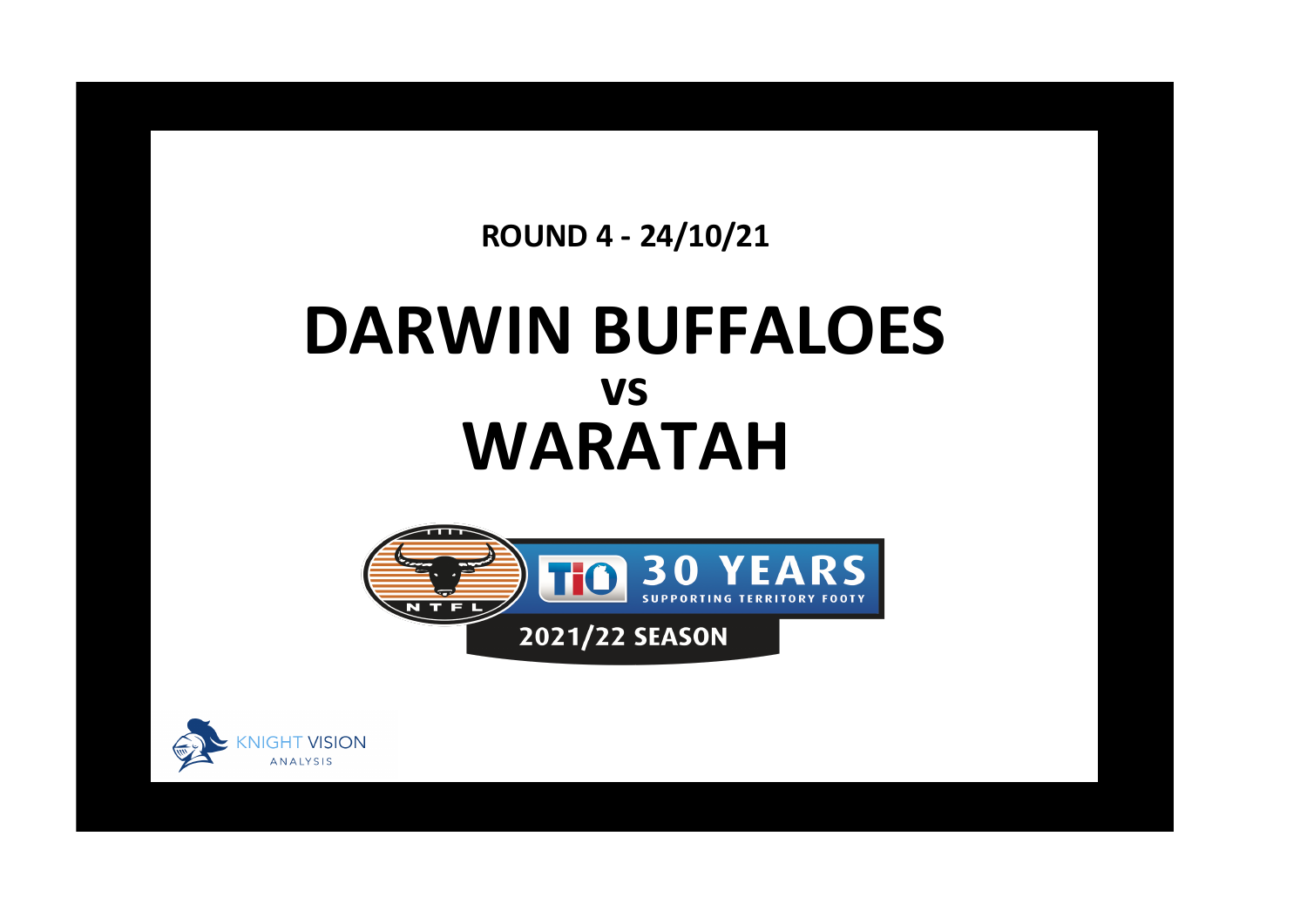**ROUND 4 - 24/10/21**

## **DARWIN BUFFALOES WARATAH vs**



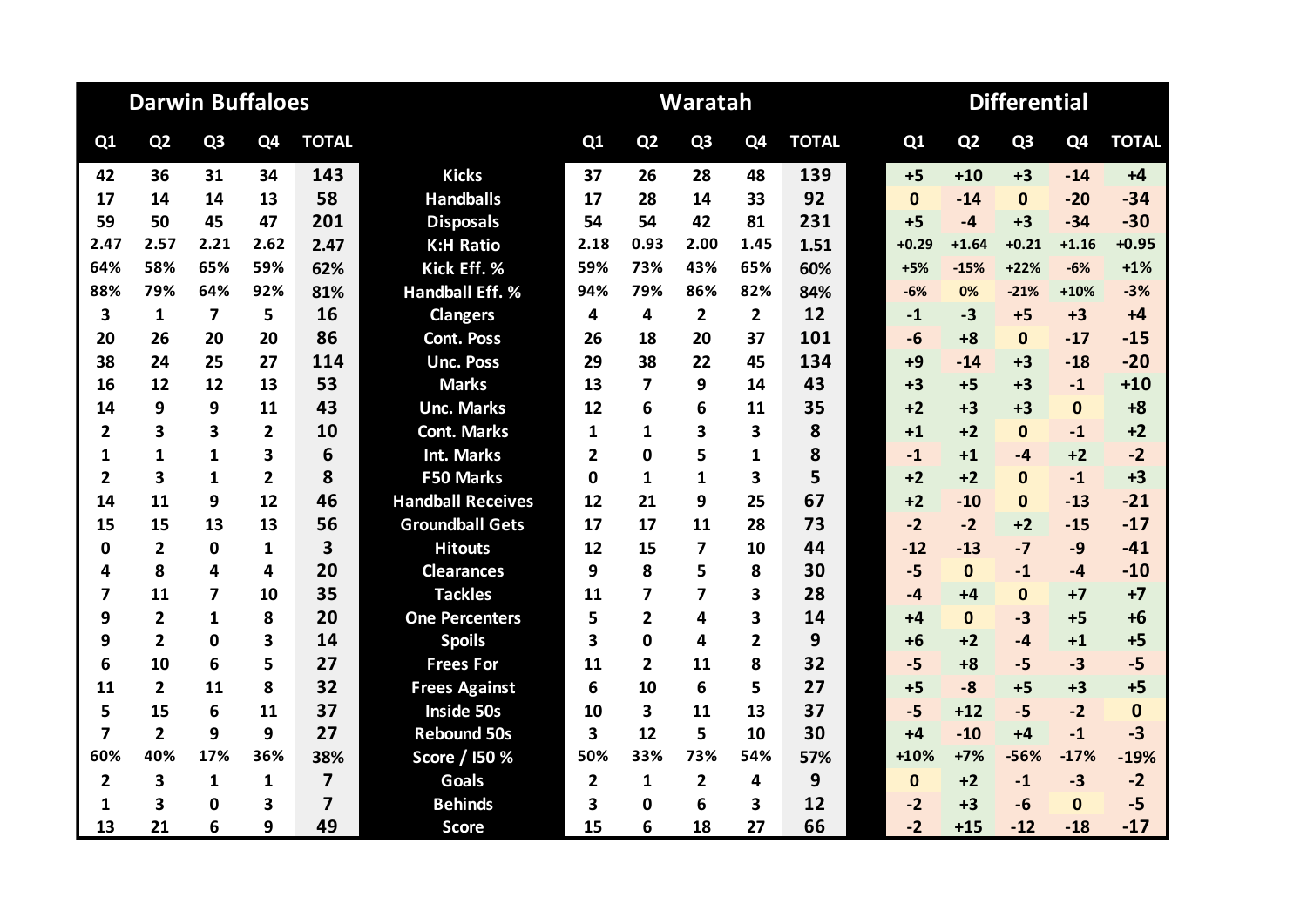|                         |                         | <b>Darwin Buffaloes</b> |                |                         |                          |                |                         | Waratah                 |                         |              |              |                |                |                |              |
|-------------------------|-------------------------|-------------------------|----------------|-------------------------|--------------------------|----------------|-------------------------|-------------------------|-------------------------|--------------|--------------|----------------|----------------|----------------|--------------|
| Q1                      | Q <sub>2</sub>          | Q <sub>3</sub>          | Q4             | <b>TOTAL</b>            |                          | Q1             | Q <sub>2</sub>          | Q <sub>3</sub>          | Q <sub>4</sub>          | <b>TOTAL</b> | Q1           | Q <sub>2</sub> | Q <sub>3</sub> | Q <sub>4</sub> | <b>TOTAL</b> |
| 42                      | 36                      | 31                      | 34             | 143                     | <b>Kicks</b>             | 37             | 26                      | 28                      | 48                      | 139          | $+5$         | $+10$          | $+3$           | $-14$          | $+4$         |
| 17                      | 14                      | 14                      | 13             | 58                      | <b>Handballs</b>         | 17             | 28                      | 14                      | 33                      | 92           | $\mathbf{0}$ | $-14$          | $\mathbf{0}$   | $-20$          | $-34$        |
| 59                      | 50                      | 45                      | 47             | 201                     | <b>Disposals</b>         | 54             | 54                      | 42                      | 81                      | 231          | $+5$         | $-4$           | $+3$           | $-34$          | $-30$        |
| 2.47                    | 2.57                    | 2.21                    | 2.62           | 2.47                    | <b>K:H Ratio</b>         | 2.18           | 0.93                    | 2.00                    | 1.45                    | 1.51         | $+0.29$      | $+1.64$        | $+0.21$        | $+1.16$        | $+0.95$      |
| 64%                     | 58%                     | 65%                     | 59%            | 62%                     | Kick Eff. %              | 59%            | 73%                     | 43%                     | 65%                     | 60%          | $+5%$        | $-15%$         | $+22%$         | $-6%$          | $+1%$        |
| 88%                     | 79%                     | 64%                     | 92%            | 81%                     | <b>Handball Eff. %</b>   | 94%            | 79%                     | 86%                     | 82%                     | 84%          | $-6%$        | 0%             | $-21%$         | $+10%$         | $-3%$        |
| 3                       | $\mathbf{1}$            | $\overline{\mathbf{z}}$ | 5              | 16                      | <b>Clangers</b>          | 4              | 4                       | $\overline{2}$          | $\overline{2}$          | 12           | $-1$         | $-3$           | $+5$           | $+3$           | $+4$         |
| 20                      | 26                      | 20                      | 20             | 86                      | <b>Cont. Poss</b>        | 26             | 18                      | 20                      | 37                      | 101          | $-6$         | $+8$           | $\mathbf{0}$   | $-17$          | $-15$        |
| 38                      | 24                      | 25                      | 27             | 114                     | <b>Unc. Poss</b>         | 29             | 38                      | 22                      | 45                      | 134          | $+9$         | $-14$          | $+3$           | $-18$          | $-20$        |
| 16                      | 12                      | 12                      | 13             | 53                      | <b>Marks</b>             | 13             | $\overline{\mathbf{z}}$ | 9                       | 14                      | 43           | $+3$         | $+5$           | $+3$           | $-1$           | $+10$        |
| 14                      | 9                       | 9                       | 11             | 43                      | <b>Unc. Marks</b>        | 12             | 6                       | 6                       | 11                      | 35           | $+2$         | $+3$           | $+3$           | $\mathbf{0}$   | $+8$         |
| $\overline{2}$          | 3                       | 3                       | $\mathbf{2}$   | 10                      | <b>Cont. Marks</b>       | 1              | 1                       | 3                       | 3                       | 8            | $+1$         | $+2$           | $\mathbf{0}$   | $-1$           | $+2$         |
| $\mathbf{1}$            | 1                       | 1                       | 3              | 6                       | <b>Int. Marks</b>        | 2              | <sup>0</sup>            | 5                       | 1                       | 8            | $-1$         | $+1$           | $-4$           | $+2$           | $-2$         |
| $\overline{2}$          | 3                       | 1                       | $\overline{2}$ | 8                       | F50 Marks                | $\Omega$       | 1                       | 1                       | $\overline{\mathbf{3}}$ | 5            | $+2$         | $+2$           | $\mathbf{0}$   | $-1$           | $+3$         |
| 14                      | 11                      | 9                       | 12             | 46                      | <b>Handball Receives</b> | 12             | 21                      | 9                       | 25                      | 67           | $+2$         | $-10$          | $\mathbf{0}$   | $-13$          | $-21$        |
| 15                      | 15                      | 13                      | 13             | 56                      | <b>Groundball Gets</b>   | 17             | 17                      | 11                      | 28                      | 73           | $-2$         | $-2$           | $+2$           | $-15$          | $-17$        |
| $\bf{0}$                | $\overline{\mathbf{2}}$ | $\mathbf 0$             | $\mathbf{1}$   | 3                       | <b>Hitouts</b>           | 12             | 15                      | 7                       | 10                      | 44           | $-12$        | $-13$          | $-7$           | $-9$           | $-41$        |
| 4                       | 8                       | 4                       | 4              | 20                      | <b>Clearances</b>        | 9              | 8                       | 5                       | 8                       | 30           | $-5$         | $\mathbf{0}$   | $-1$           | $-4$           | $-10$        |
| 7                       | 11                      | 7                       | 10             | 35                      | <b>Tackles</b>           | 11             | 7                       | 7                       | 3                       | 28           | $-4$         | $+4$           | $\mathbf{0}$   | $+7$           | $+7$         |
| 9                       | $\overline{2}$          | 1                       | 8              | 20                      | <b>One Percenters</b>    | 5              | $\overline{2}$          | 4                       | 3                       | 14           | $+4$         | $\mathbf{0}$   | $-3$           | $+5$           | $+6$         |
| 9                       | $\overline{2}$          | 0                       | 3              | 14                      | <b>Spoils</b>            | 3              | $\Omega$                | 4                       | $\overline{2}$          | 9            | $+6$         | $+2$           | $-4$           | $+1$           | $+5$         |
| 6                       | 10                      | 6                       | 5              | 27                      | <b>Frees For</b>         | 11             | $\overline{2}$          | 11                      | 8                       | 32           | $-5$         | $+8$           | $-5$           | $-3$           | $-5$         |
| 11                      | $\overline{2}$          | 11                      | 8              | 32                      | <b>Frees Against</b>     | 6              | 10                      | 6                       | 5                       | 27           | $+5$         | $-8$           | $+5$           | $+3$           | $+5$         |
| 5                       | 15                      | 6                       | 11             | 37                      | <b>Inside 50s</b>        | 10             | 3                       | 11                      | 13                      | 37           | $-5$         | $+12$          | $-5$           | $-2$           | $\mathbf{0}$ |
| $\overline{\mathbf{z}}$ | $\overline{2}$          | 9                       | 9              | 27                      | <b>Rebound 50s</b>       | 3              | 12                      | 5                       | 10                      | 30           | $+4$         | $-10$          | $+4$           | $-1$           | $-3$         |
| 60%                     | 40%                     | 17%                     | 36%            | 38%                     | Score / 150 %            | 50%            | 33%                     | 73%                     | 54%                     | 57%          | +10%         | $+7%$          | $-56%$         | $-17%$         | $-19%$       |
| $\overline{\mathbf{2}}$ | 3                       | $\mathbf{1}$            | 1              | $\overline{\mathbf{z}}$ | <b>Goals</b>             | $\overline{2}$ | $\mathbf{1}$            | $\overline{\mathbf{2}}$ | 4                       | 9            | $\mathbf{0}$ | $+2$           | $-1$           | $-3$           | $-2$         |
| 1                       | 3                       | 0                       | 3              | $\overline{7}$          | <b>Behinds</b>           | 3              | 0                       | 6                       | $\overline{\mathbf{3}}$ | 12           | $-2$         | $+3$           | $-6$           | $\bf{0}$       | $-5$         |
| 13                      | 21                      | 6                       | 9              | 49                      | <b>Score</b>             | 15             | 6                       | 18                      | 27                      | 66           | $-2$         | $+15$          | $-12$          | $-18$          | $-17$        |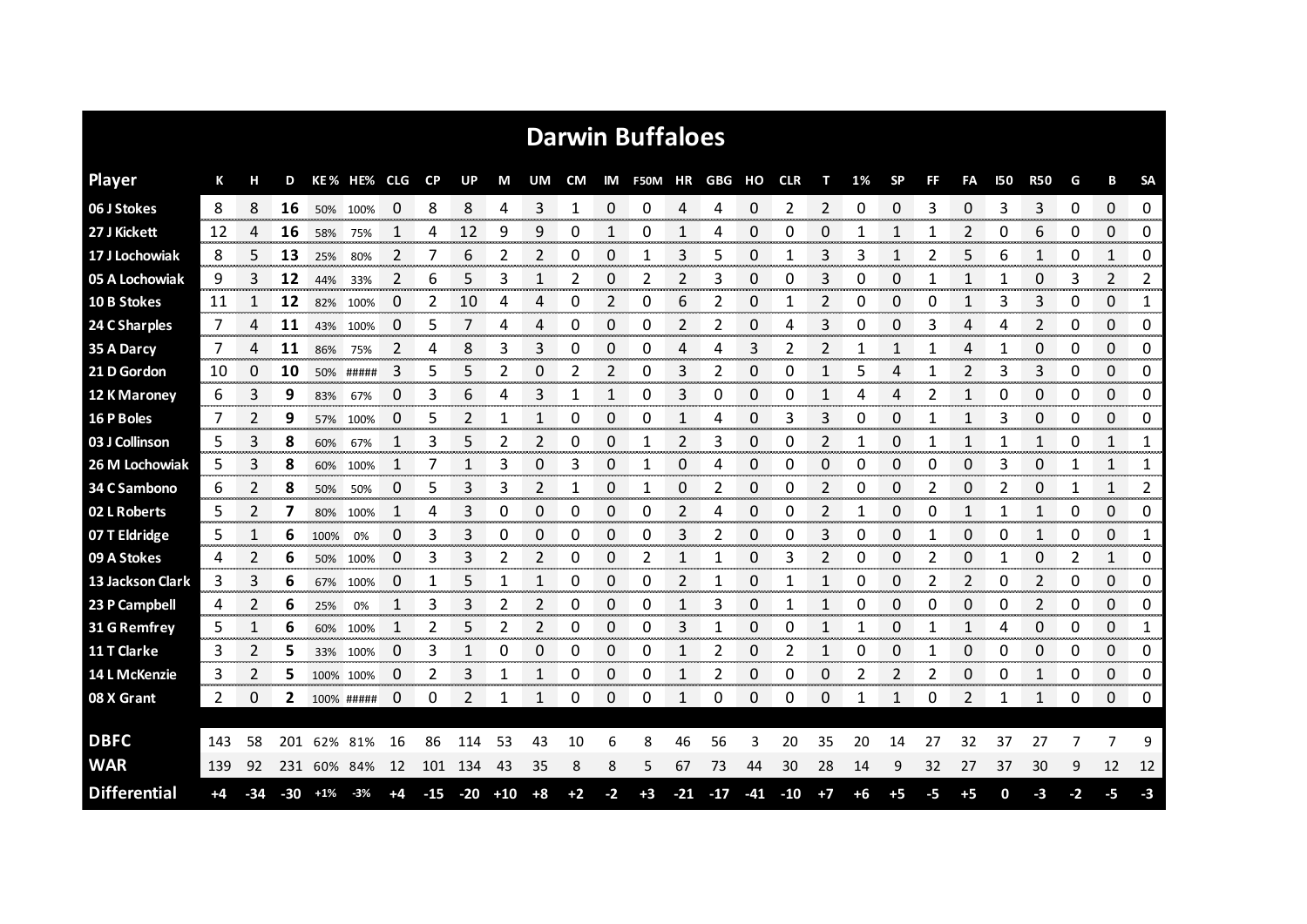|                     |      |     |       |       |             |    |           |       |       |      |      |      | <b>Darwin Buffaloes</b> |       |       |       |            |                |    |           |    |                |     |            |    |              |                |
|---------------------|------|-----|-------|-------|-------------|----|-----------|-------|-------|------|------|------|-------------------------|-------|-------|-------|------------|----------------|----|-----------|----|----------------|-----|------------|----|--------------|----------------|
| <b>Player</b>       | К    | н   | D     |       | KE% HE% CLG |    | <b>CP</b> | UP    | М     | UM   | CM   |      | IM F50M HR GBG HO       |       |       |       | <b>CLR</b> | т              | 1% | <b>SP</b> | FF | FA             | 150 | <b>R50</b> | G  | B            | <b>SA</b>      |
| 06 J Stokes         | 8    | 8   | 16    |       | 50% 100%    | 0  | 8         | 8     | 4     | 3    | 1    | 0    | 0                       | 4     | 4     | 0     | 2          | 2              | 0  | 0         | 3  | $\Omega$       | 3   | 3          | 0  | $\Omega$     | 0              |
| 27 J Kickett        | 12   | 4   | 16    | 58%   | 75%         |    | 4         | 12    | 9     | 9    | 0    | 1    | 0                       |       | 4     | 0     | 0          | 0              |    | 1         | 1  | 2              | 0   | 6          | 0  | 0            | 0              |
| 17 J Lochowiak      | 8    | 5   | 13    | 25%   | 80%         | 2  | 7         | 6     | 2     | 2    | 0    | 0    | 1                       | 3     | 5     | 0     | 1          | 3              | 3  | 1         | 2  | 5              | 6   | 1          | 0  | $\mathbf{1}$ | 0              |
| 05 A Lochowiak      | 9    | 3   | 12    | 44%   | 33%         | 2  | 6         | 5     | 3     | 1    | 2    | 0    | 2                       | 2     | 3     | 0     | 0          | 3              | 0  | 0         | 1  | 1              | 1   | 0          | 3  | 2            | 2              |
| 10 B Stokes         | 11   |     | 12    |       | 82% 100%    | 0  | 2         | 10    | 4     | 4    | 0    | 2    | 0                       | 6     | 2     | 0     | 1          | 2              | 0  | 0         | 0  | $\mathbf{1}$   | 3   | 3          | 0  | 0            | 1              |
| 24 C Sharples       | 7    | 4   | 11    | 43%   | 100%        | 0  | 5         | 7     | 4     | 4    | 0    | 0    | 0                       | 2     | 2     | 0     | 4          | 3              | 0  | 0         | 3  | 4              | 4   | 2          | 0  | 0            | 0              |
| 35 A Darcy          | 7    | 4   | 11    | 86%   | 75%         | 2  | 4         | 8     | 3     | 3    | 0    | 0    | 0                       | 4     | 4     | 3     | 2          | 2              |    | 1         |    | 4              |     | 0          | 0  | 0            | 0              |
| 21 D Gordon         | 10   | 0   | 10    |       | 50% #####   | 3  | 5         | 5     | 2     | 0    | 2    | 2    | 0                       | 3     | 2     | 0     | 0          | 1              | 5  | 4         |    | 2              | 3   | 3          | 0  | 0            | 0              |
| 12 K Maroney        | 6    | 3   | 9     | 83%   | 67%         | 0  | 3         | 6     | 4     | 3    | 1    | 1    | 0                       | 3     | 0     | 0     | 0          | 1              | 4  | 4         | 2  | $\mathbf{1}$   | 0   | 0          | 0  | 0            | 0              |
| 16 P Boles          | 7    | 2   | 9     | 57%   | 100%        | 0  | 5         | 2     | 1     | 1    | 0    | 0    | 0                       | 1     | 4     | 0     | 3          | 3              | 0  | 0         | 1  | 1              | 3   | 0          | 0  | 0            | 0              |
| 03 J Collinson      | 5    | 3   | 8     | 60%   | 67%         |    | 3         | 5     | 2     | 2    | 0    | 0    |                         | 2     | 3     | 0     | 0          | 2              |    | 0         |    | 1              |     |            | 0  | 1            | 1              |
| 26 M Lochowiak      | 5    | 3   | 8     | 60%   | 100%        |    |           |       | 3     | 0    | 3    | 0    |                         | 0     | 4     | 0     | 0          | 0              | 0  | 0         | 0  | 0              | 3   | 0          |    | 1            | 1              |
| 34 C Sambono        | 6    | 2   | 8     | 50%   | 50%         | 0  | 5         | 3     | 3     | 2    | 1    | 0    | 1                       | 0     | 2     | 0     | 0          | 2              | 0  | 0         | 2  | 0              | 2   | 0          |    | $\mathbf{1}$ | $\overline{2}$ |
| 02 L Roberts        | 5    | 2   | 7     | 80%   | 100%        |    | 4         | 3     | 0     | 0    | 0    | 0    | 0                       | 2     | 4     | 0     | 0          | $\overline{2}$ |    | 0         | 0  | 1              | -1  | 1          | 0  | 0            | 0              |
| 07 T Eldridge       | 5    |     | 6     | 100%  | 0%          | 0  | 3         | 3     | 0     | 0    | 0    | 0    | 0                       | 3     | 2     | 0     | 0          | 3              | 0  | 0         |    | 0              | 0   |            | 0  | 0            | 1              |
| 09 A Stokes         | 4    | 2   | 6     | 50%   | 100%        | 0  | 3         | 3     | 2     | 2    | 0    | 0    | 2                       | 1     |       | 0     | 3          | 2              | 0  | 0         | 2  | 0              |     | 0          | 2  | 1            | 0              |
| 13 Jackson Clark    | 3    | 3   | 6     | 67%   | 100%        | 0  | 1         | 5     | 1     | 1    | 0    | 0    | 0                       | 2     |       | 0     |            | 1              | 0  | 0         | 2  | $\overline{2}$ | 0   | 2          | 0  | 0            | 0              |
| 23 P Campbell       | 4    | 2   | 6     | 25%   | 0%          |    | 3         | 3     | 2     | 2    | 0    | 0    | 0                       | 1     | 3     | 0     |            | 1              | Ω  | 0         | 0  | 0              | 0   | 2          | 0  | 0            | 0              |
| 31 G Remfrey        | 5    |     | 6     | 60%   | 100%        |    | 2         | 5     | 2     | 2    | 0    | 0    | 0                       | 3     |       | 0     | 0          | 1              |    | 0         | 1  | 1              | 4   | 0          | 0  | 0            | 1              |
| 11 T Clarke         | 3    | 2   | 5     |       | 33% 100%    | 0  | 3         |       | 0     | 0    | 0    | 0    | 0                       | 1     | 2     | 0     | 2          | 1              | 0  | 0         | 1  | 0              | 0   | 0          | 0  | 0            | 0              |
| 14 L McKenzie       | 3    | 2   | 5     |       | 100% 100%   | 0  | 2         | 3     | 1     | 1    | 0    | 0    | 0                       | 1     | 2     | 0     | 0          | 0              | 2  | 2         | 2  | 0              | 0   | 1          | 0  | 0            | 0              |
| 08 X Grant          | 2    | 0   | 2     |       | 100% #####  | 0  | 0         | 2     | 1     | 1    | 0    | 0    | 0                       | 1     | 0     | 0     | 0          | 0              | 1  | 1         | 0  | 2              | 1   | 1          | 0  | 0            | 0              |
| <b>DBFC</b>         | 143  | 58  | 201   | 62%   | 81%         | 16 | 86        | 114   | 53    | 43   | 10   | 6    | 8                       | 46    | 56    | 3     | 20         | 35             | 20 | 14        | 27 | 32             | 37  | 27         |    | 7            | 9              |
| <b>WAR</b>          |      |     |       |       |             |    |           |       |       |      |      |      |                         |       |       |       |            |                |    |           |    |                |     |            |    |              |                |
|                     | 139  | 92  |       |       | 231 60% 84% | 12 | 101       | 134   | 43    | 35   | 8    | 8    | 5                       | 67    | 73    | 44    | 30         | 28             | 14 | 9         | 32 | 27             | 37  | 30         | 9  | 12           | 12             |
| <b>Differential</b> | $+4$ | -34 | $-30$ | $+1%$ | $-3%$       | +4 | $-15$     | $-20$ | $+10$ | $+8$ | $+2$ | $-2$ | $+3$                    | $-21$ | $-17$ | $-41$ | $-10$      | $+7$           | +6 | $+5$      | -5 | $+5$           | 0   | -3         | -2 | -5           | $-3$           |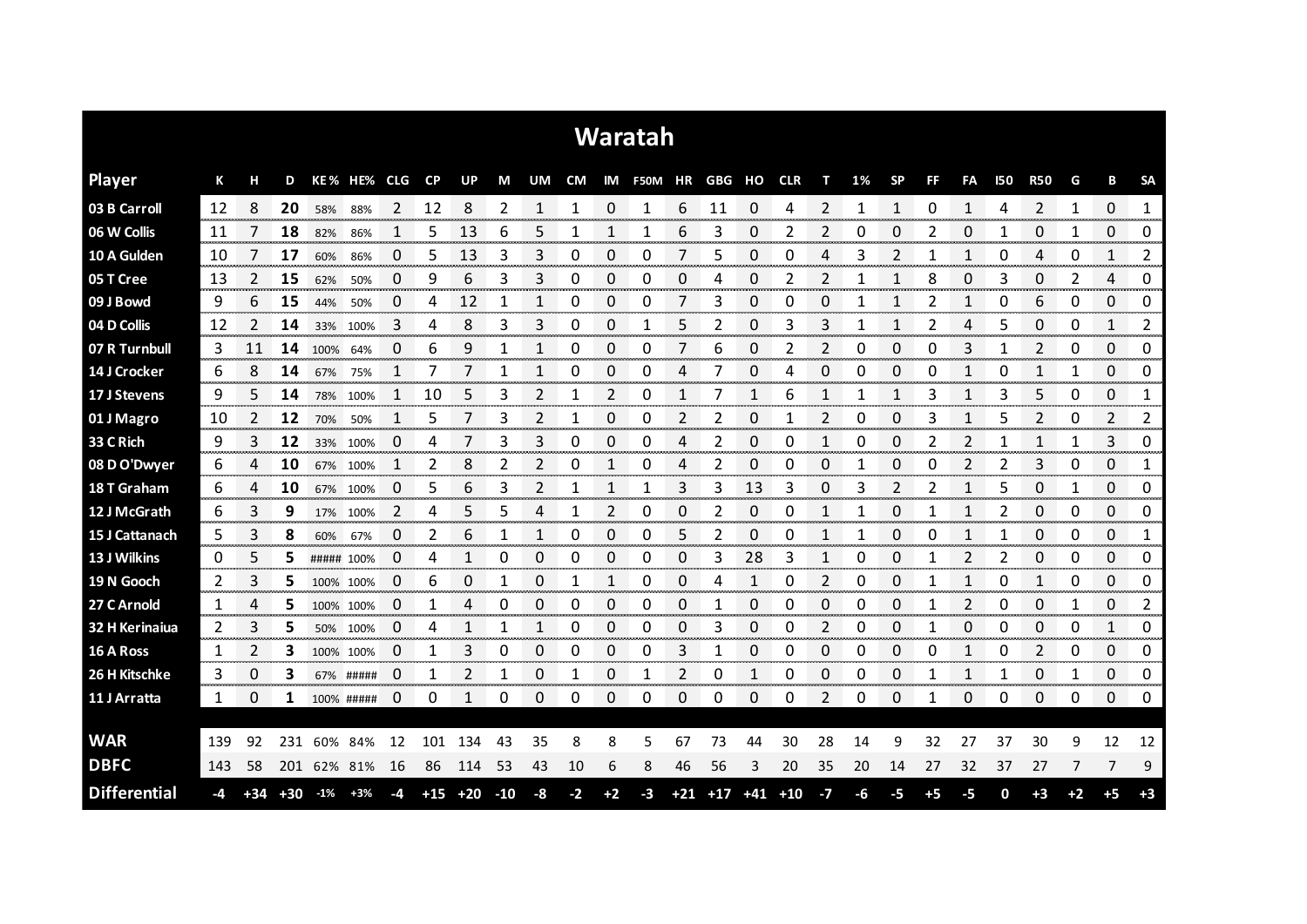|                     |     |               |       |             |             |             |                 |           |       |                |             |                | <b>Waratah</b>           |               |                         |                      |    |                 |                  |                |           |                  |            |                      |              |                     |                     |
|---------------------|-----|---------------|-------|-------------|-------------|-------------|-----------------|-----------|-------|----------------|-------------|----------------|--------------------------|---------------|-------------------------|----------------------|----|-----------------|------------------|----------------|-----------|------------------|------------|----------------------|--------------|---------------------|---------------------|
| <b>Player</b>       | К   | н             | D     |             | KE% HE% CLG |             | <b>CP</b>       | <b>UP</b> | M     | UM             |             |                | CM IM F50M HR GBG HO CLR |               |                         |                      |    | т               | 1%               | <b>SP</b>      | <b>FF</b> | FA               | <b>I50</b> | <b>R50</b>           | G            | В                   | <b>SA</b>           |
| 03 B Carroll        | 12  | 8             | 20    | 58%         | 88%         | 2           | 12              | 8         | 2     | 1              |             | 0              |                          | 6             | 11                      | 0                    | 4  | 2               |                  | 1              | 0         | 1                | 4          | 2                    | 1            | 0                   | 1                   |
| 06 W Collis         | 11  |               | 18    | 82%         | 86%         |             | 5               | 13        | 6     | 5              |             |                |                          | 6             | 3                       | 0                    | 2  | 2               | 0                | 0              | 2         | 0                |            | 0                    | 1            | 0                   | 0                   |
| 10 A Gulden         | 10  |               | 17    | 60%         | 86%         | 0           | 5               | 13        | 3     | 3              | 0           | 0              | 0                        | 7             | 5                       | 0                    | 0  | 4               | 3                | 2              |           |                  | 0          | 4                    | 0            | 1                   | 2                   |
| 05 T Cree           | 13  | 2             | 15    | 62%         | 50%         | 0           | 9               | 6         | 3     | 3              | 0           | 0              | 0                        | 0             | 4                       | 0                    | 2  | 2               |                  | 1              | 8         | 0                | 3          | 0                    | 2            | 4                   | 0                   |
| 09 J Bowd           | 9   | 6             | 15    | 44%         | 50%         | 0           | 4               | 12        | 1     | 1              | 0           | 0              | 0                        | 7             | 3                       | 0                    | 0  | 0               |                  | $\mathbf{1}$   | 2         | 1                | 0          | 6                    | 0            | 0                   | 0                   |
| 04 D Collis         | 12  | 2             | 14    | 33%         | 100%        | 3           | 4               | 8         | 3     | 3              | 0           | 0              | 1                        | 5             | 2                       | 0                    | 3  | 3               | 1                | 1              | 2         | 4                | 5          | 0                    | 0            | 1                   | 2                   |
| 07 R Turnbull       | 3   | 11            | 14    | 100%        | 64%         | 0           | 6               | 9         | 1     |                | 0           | 0              | 0                        | 7             | 6                       | 0                    | 2  | 2               | 0                | 0              | 0         | 3                |            | 2                    | 0            | 0                   | 0                   |
| 14 J Crocker        | 6   | 8             | 14    | 67%         | 75%         |             | 7               |           | 1     | 1              | 0           | 0              | 0                        | 4             |                         | 0                    | 4  | 0               | 0                | 0              | 0         | 1                | 0          | 1                    | 1            | 0                   | 0                   |
| 17 J Stevens        | 9   | 5             | 14    | 78%         | 100%        | 1           | 10              | 5         | 3     | $\overline{2}$ | 1           | $\overline{2}$ | 0                        | 1             | 7                       | 1                    | 6  | 1               | 1                | 1              | 3         | 1                | 3          | 5                    | 0            | 0                   | 1                   |
| 01 J Magro          | 10  | $\mathcal{P}$ | 12    | 70%         | 50%         | 1           | 5               |           | 3     | 2              | 1           | 0              | 0                        | 2             | 2                       | 0                    |    | 2               | 0                | 0              | 3         | 1                | 5          | 2                    | 0            | 2                   | 2                   |
| 33 C Rich           | 9   | 3             | 12    |             | 33% 100%    | 0           | 4               |           | 3     | 3              | 0           | 0              | 0                        | 4             | 2                       | 0                    | 0  | 1               | 0                | 0              | 2         | 2                |            | 1                    | 1            | 3                   | 0                   |
| 08 D O'Dwyer        | 6   | 4             | 10    | 67%         | 100%        | 1           | 2               | 8         | 2     | 2              | 0           | 1              | 0                        | 4             | 2                       | 0                    | 0  | 0               | 1                | 0              | 0         | 2                | 2          | 3                    | 0            | 0                   | 1                   |
| 18 T Graham         | 6   | 4             | 10    | 67%         | 100%        | 0           | 5               | 6         | 3     | $\overline{2}$ | 1           | 1              | 1                        | 3             | 3                       | 13                   | 3  | 0               | 3                | $\overline{2}$ | 2         | 1                | 5          | 0                    | 1            | 0                   | 0                   |
| 12 J McGrath        | 6   | 3             | 9     | 17%         | 100%        | 2           | 4               | 5         | 5     | 4              | 1           | 2              | 0                        | 0             | 2                       | 0                    | 0  | 1               | 1                | 0              | -1        |                  | 2          | 0                    | 0            | 0                   | 0                   |
| 15 J Cattanach      | 5   | 3             | 8     | 60%         | 67%         | 0           | 2               | 6         |       |                | 0           | 0              | 0                        | 5             | 2                       | 0                    | 0  | 1               |                  | 0              | 0         |                  |            | 0                    | 0            | 0                   | 1                   |
| 13 J Wilkins        | 0   | 5             | 5     | ##### 100%  |             | 0           | 4               |           | 0     | 0              | 0           | 0              | 0                        | 0             | 3                       | 28                   | 3  | 1               | O                | 0              |           |                  |            | 0                    | 0            | 0<br>an an a        | 0<br>ennonne        |
| 19 N Gooch          | 2   | 3             | 5     | 100% 100%   |             | $\mathbf 0$ | 6<br>an an an a | 0         |       | 0<br>ana amin' | 1           |                | 0                        | 0<br>anan men | 4                       | an san               | 0  | 2<br>an an an a | 0<br>ana amin'ny | 0              |           | no men           | 0          | 1<br>anan m          | 0<br>an mana | 0<br>ana ana am     | 0<br>www.com        |
| 27 C Arnold         | 1   | 4             | 5     | 100% 100%   |             | 0           |                 |           | 0     | 0              | Ω           | 0              | 0                        | 0             |                         | 0                    | ი  | 0               | Ω                | 0              |           |                  | C          | 0                    |              | 0                   | 2                   |
| 32 H Kerinaiua      | 2   | 3             | 5     | 50%         | 100%        | 0           | 4               |           | 1     | 1              | 0           | 0              | 0                        | 0             | 3                       | 0                    | 0  | 2               | 0                | 0              |           | 0                | 0          | 0                    | 0            | 1                   | 0                   |
| 16 A Ross           | 1   | 2             | 3     | 100% 100%   |             | 0           |                 | 3         | 0     | 0              | 0<br>ananan | 0<br>ter en a  | 0                        | 3             |                         | 0<br><b>TOO DOOR</b> | 0  | 0               | 0                | 0              | Ω         | <b>Secondary</b> | O          | 2<br><b>Services</b> | 0<br>manan a | 0<br><b>TODOOT</b>  | 0<br><b>Secondo</b> |
| 26 H Kitschke       | 3   | 0             | 3     |             | 67% #####   | 0           |                 | 2         |       | 0              | 1           | 0              |                          | 2             | 0                       |                      | 0  | 0<br>ana ana    | 0                | 0              |           |                  |            | 0<br><b>Service</b>  |              | 0<br><b>Service</b> | 0<br>www.com        |
| 11 J Arratta        | 1   | 0             | 1     | 100% #####  |             | 0           | 0               |           | 0     | 0              | 0           | 0              | 0                        | 0             | 0                       | 0                    | 0  | 2               | 0                | 0              | -1        | 0                | 0          | 0                    | 0            | 0                   | 0                   |
| <b>WAR</b>          |     |               |       |             |             |             |                 |           |       |                |             |                |                          |               |                         |                      |    |                 |                  |                |           |                  |            |                      |              |                     |                     |
|                     | 139 | 92            | 231   | 60% 84%     |             | 12          | 101             | 134       | 43    | 35             | 8           | 8              | 5                        | 67            | 73                      | 44                   | 30 | 28              | 14               | 9              | 32        | 27               | 37         | 30                   | 9            | 12                  | 12                  |
| <b>DBFC</b>         | 143 | 58            |       | 201 62% 81% |             | 16          | 86              | 114       | 53    | 43             | 10          | 6              | 8                        | 46            | 56                      | 3                    | 20 | 35              | 20               | 14             | 27        | 32               | 37         | 27                   | 7            | 7                   | 9                   |
| <b>Differential</b> | -4  | $+34$         | $+30$ | $-1\%$      | $+3%$       | -4          | $+15$           | $+20$     | $-10$ | -8             | $-2$        | $+2$           | $-3$                     |               | $+21$ $+17$ $+41$ $+10$ |                      |    | $-7$            | -6               | -5             | $+5$      | -5               | 0          | $+3$                 | $+2$         | $+5$                | $+3$                |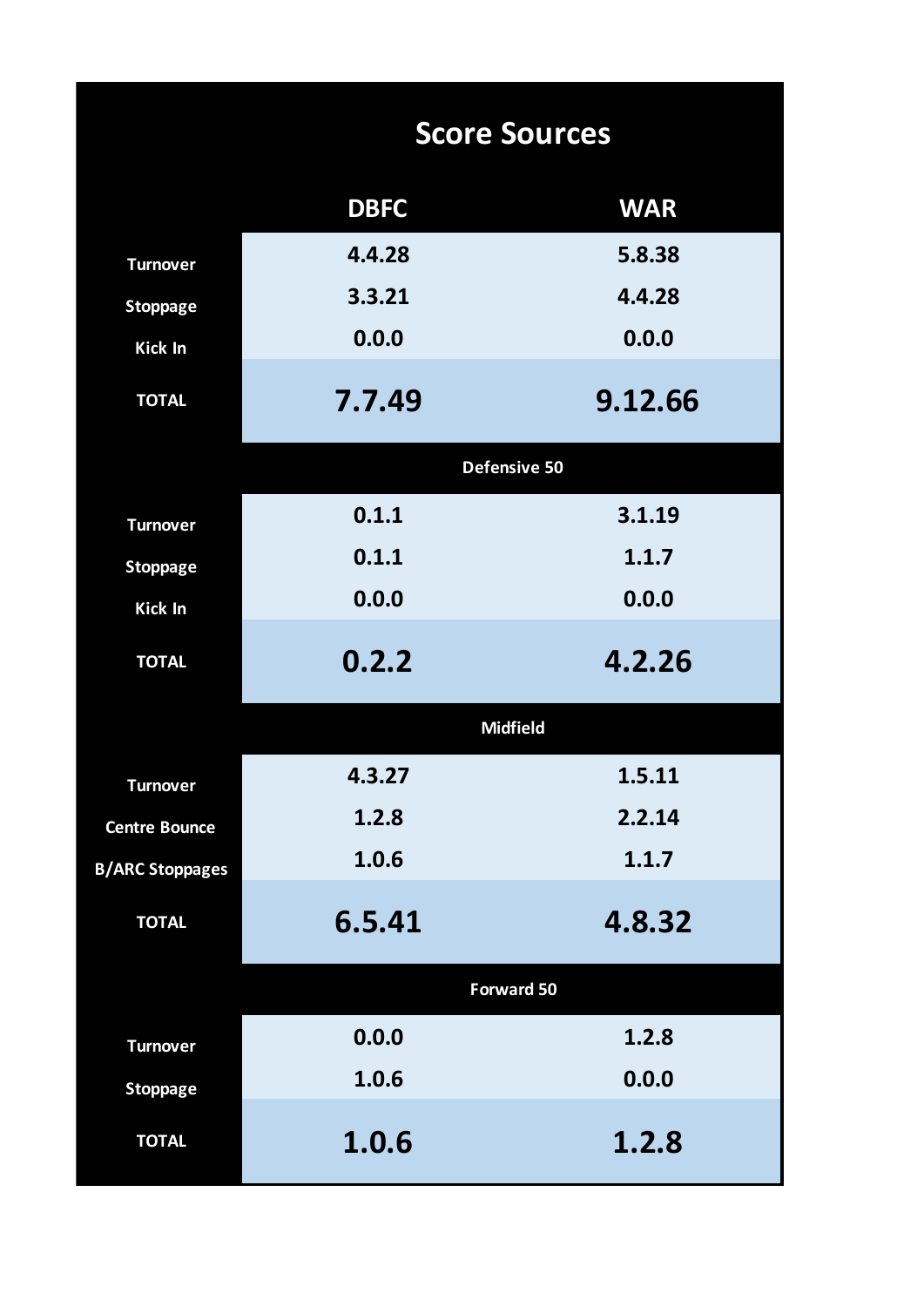|                        |             | <b>Score Sources</b> |
|------------------------|-------------|----------------------|
|                        | <b>DBFC</b> | <b>WAR</b>           |
| <b>Turnover</b>        | 4.4.28      | 5.8.38               |
| <b>Stoppage</b>        | 3.3.21      | 4.4.28               |
| <b>Kick In</b>         | 0.0.0       | 0.0.0                |
| <b>TOTAL</b>           | 7.7.49      | 9.12.66              |
|                        |             | <b>Defensive 50</b>  |
| <b>Turnover</b>        | 0.1.1       | 3.1.19               |
| <b>Stoppage</b>        | 0.1.1       | 1.1.7                |
| <b>Kick In</b>         | 0.0.0       | 0.0.0                |
| <b>TOTAL</b>           | 0.2.2       | 4.2.26               |
|                        |             | <b>Midfield</b>      |
| <b>Turnover</b>        | 4.3.27      | 1.5.11               |
| <b>Centre Bounce</b>   | 1.2.8       | 2.2.14               |
| <b>B/ARC Stoppages</b> | 1.0.6       | 1.1.7                |
| <b>TOTAL</b>           | 6.5.41      | 4.8.32               |
|                        |             | Forward 50           |
| <b>Turnover</b>        | 0.0.0       | 1.2.8                |
| <b>Stoppage</b>        | 1.0.6       | 0.0.0                |
| <b>TOTAL</b>           | 1.0.6       | 1.2.8                |